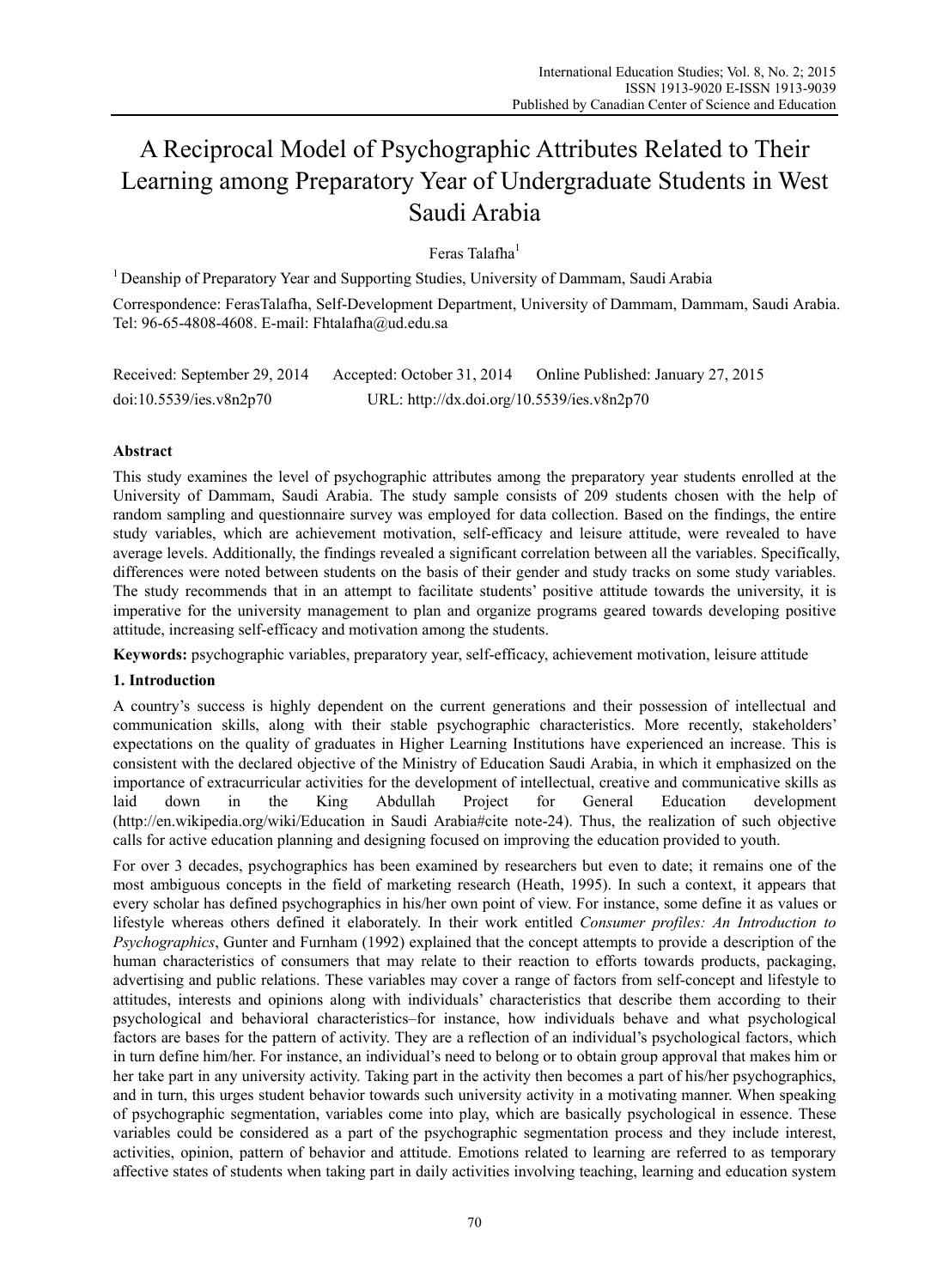# A Reciprocal Model of Psychographic Attributes Related to Their Learning among Preparatory Year of Undergraduate Students in West Saudi Arabia

Feras Talafha<sup>1</sup>

1 Deanship of Preparatory Year and Supporting Studies, University of Dammam, Saudi Arabia Correspondence: FerasTalafha, Self-Development Department, University of Dammam, Dammam, Saudi Arabia. Tel: 96-65-4808-4608. E-mail: Fhtalafha@ud.edu.sa

Received: September 29, 2014 Accepted: October 31, 2014 Online Published: January 27, 2015 doi:10.5539/ies.v8n2p70 URL: http://dx.doi.org/10.5539/ies.v8n2p70

## **Abstract**

This study examines the level of psychographic attributes among the preparatory year students enrolled at the University of Dammam, Saudi Arabia. The study sample consists of 209 students chosen with the help of random sampling and questionnaire survey was employed for data collection. Based on the findings, the entire study variables, which are achievement motivation, self-efficacy and leisure attitude, were revealed to have average levels. Additionally, the findings revealed a significant correlation between all the variables. Specifically, differences were noted between students on the basis of their gender and study tracks on some study variables. The study recommends that in an attempt to facilitate students' positive attitude towards the university, it is imperative for the university management to plan and organize programs geared towards developing positive attitude, increasing self-efficacy and motivation among the students.

**Keywords:** psychographic variables, preparatory year, self-efficacy, achievement motivation, leisure attitude

## **1. Introduction**

A country's success is highly dependent on the current generations and their possession of intellectual and communication skills, along with their stable psychographic characteristics. More recently, stakeholders' expectations on the quality of graduates in Higher Learning Institutions have experienced an increase. This is consistent with the declared objective of the Ministry of Education Saudi Arabia, in which it emphasized on the importance of extracurricular activities for the development of intellectual, creative and communicative skills as laid down in the King Abdullah Project for General Education development (http://en.wikipedia.org/wiki/Education in Saudi Arabia#cite note-24). Thus, the realization of such objective calls for active education planning and designing focused on improving the education provided to youth.

For over 3 decades, psychographics has been examined by researchers but even to date; it remains one of the most ambiguous concepts in the field of marketing research (Heath, 1995). In such a context, it appears that every scholar has defined psychographics in his/her own point of view. For instance, some define it as values or lifestyle whereas others defined it elaborately. In their work entitled *Consumer profiles: An Introduction to Psychographics*, Gunter and Furnham (1992) explained that the concept attempts to provide a description of the human characteristics of consumers that may relate to their reaction to efforts towards products, packaging, advertising and public relations. These variables may cover a range of factors from self-concept and lifestyle to attitudes, interests and opinions along with individuals' characteristics that describe them according to their psychological and behavioral characteristics–for instance, how individuals behave and what psychological factors are bases for the pattern of activity. They are a reflection of an individual's psychological factors, which in turn define him/her. For instance, an individual's need to belong or to obtain group approval that makes him or her take part in any university activity. Taking part in the activity then becomes a part of his/her psychographics, and in turn, this urges student behavior towards such university activity in a motivating manner. When speaking of psychographic segmentation, variables come into play, which are basically psychological in essence. These variables could be considered as a part of the psychographic segmentation process and they include interest, activities, opinion, pattern of behavior and attitude. Emotions related to learning are referred to as temporary affective states of students when taking part in daily activities involving teaching, learning and education system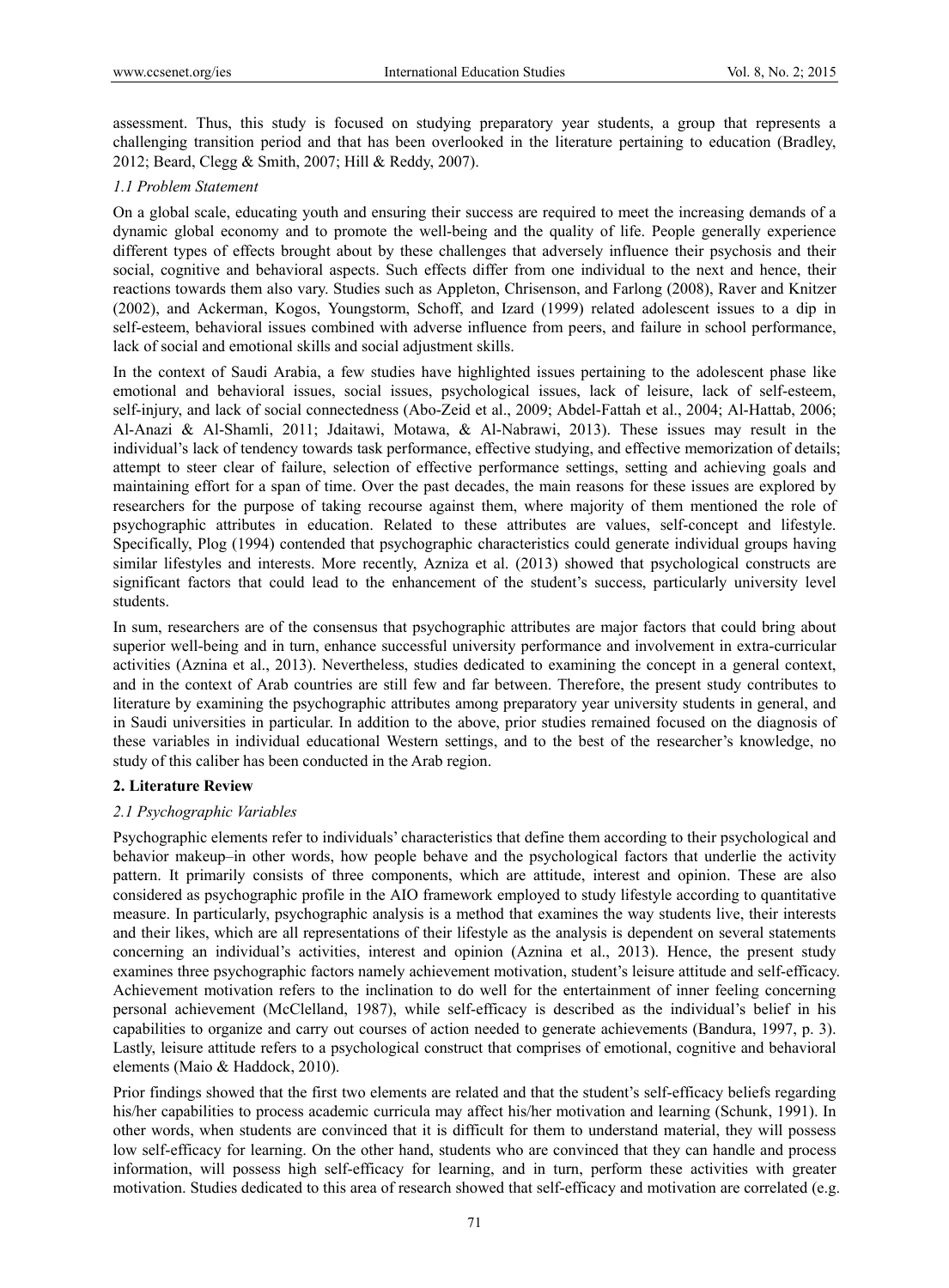assessment. Thus, this study is focused on studying preparatory year students, a group that represents a challenging transition period and that has been overlooked in the literature pertaining to education (Bradley, 2012; Beard, Clegg & Smith, 2007; Hill & Reddy, 2007).

## *1.1 Problem Statement*

On a global scale, educating youth and ensuring their success are required to meet the increasing demands of a dynamic global economy and to promote the well-being and the quality of life. People generally experience different types of effects brought about by these challenges that adversely influence their psychosis and their social, cognitive and behavioral aspects. Such effects differ from one individual to the next and hence, their reactions towards them also vary. Studies such as Appleton, Chrisenson, and Farlong (2008), Raver and Knitzer (2002), and Ackerman, Kogos, Youngstorm, Schoff, and Izard (1999) related adolescent issues to a dip in self-esteem, behavioral issues combined with adverse influence from peers, and failure in school performance, lack of social and emotional skills and social adjustment skills.

In the context of Saudi Arabia, a few studies have highlighted issues pertaining to the adolescent phase like emotional and behavioral issues, social issues, psychological issues, lack of leisure, lack of self-esteem, self-injury, and lack of social connectedness (Abo-Zeid et al., 2009; Abdel-Fattah et al., 2004; Al-Hattab, 2006; Al-Anazi & Al-Shamli, 2011; Jdaitawi, Motawa, & Al-Nabrawi, 2013). These issues may result in the individual's lack of tendency towards task performance, effective studying, and effective memorization of details; attempt to steer clear of failure, selection of effective performance settings, setting and achieving goals and maintaining effort for a span of time. Over the past decades, the main reasons for these issues are explored by researchers for the purpose of taking recourse against them, where majority of them mentioned the role of psychographic attributes in education. Related to these attributes are values, self-concept and lifestyle. Specifically, Plog (1994) contended that psychographic characteristics could generate individual groups having similar lifestyles and interests. More recently, Azniza et al. (2013) showed that psychological constructs are significant factors that could lead to the enhancement of the student's success, particularly university level students.

In sum, researchers are of the consensus that psychographic attributes are major factors that could bring about superior well-being and in turn, enhance successful university performance and involvement in extra-curricular activities (Aznina et al., 2013). Nevertheless, studies dedicated to examining the concept in a general context, and in the context of Arab countries are still few and far between. Therefore, the present study contributes to literature by examining the psychographic attributes among preparatory year university students in general, and in Saudi universities in particular. In addition to the above, prior studies remained focused on the diagnosis of these variables in individual educational Western settings, and to the best of the researcher's knowledge, no study of this caliber has been conducted in the Arab region.

## **2. Literature Review**

## *2.1 Psychographic Variables*

Psychographic elements refer to individuals' characteristics that define them according to their psychological and behavior makeup–in other words, how people behave and the psychological factors that underlie the activity pattern. It primarily consists of three components, which are attitude, interest and opinion. These are also considered as psychographic profile in the AIO framework employed to study lifestyle according to quantitative measure. In particularly, psychographic analysis is a method that examines the way students live, their interests and their likes, which are all representations of their lifestyle as the analysis is dependent on several statements concerning an individual's activities, interest and opinion (Aznina et al., 2013). Hence, the present study examines three psychographic factors namely achievement motivation, student's leisure attitude and self-efficacy. Achievement motivation refers to the inclination to do well for the entertainment of inner feeling concerning personal achievement (McClelland, 1987), while self-efficacy is described as the individual's belief in his capabilities to organize and carry out courses of action needed to generate achievements (Bandura, 1997, p. 3). Lastly, leisure attitude refers to a psychological construct that comprises of emotional, cognitive and behavioral elements (Maio & Haddock, 2010).

Prior findings showed that the first two elements are related and that the student's self-efficacy beliefs regarding his/her capabilities to process academic curricula may affect his/her motivation and learning (Schunk, 1991). In other words, when students are convinced that it is difficult for them to understand material, they will possess low self-efficacy for learning. On the other hand, students who are convinced that they can handle and process information, will possess high self-efficacy for learning, and in turn, perform these activities with greater motivation. Studies dedicated to this area of research showed that self-efficacy and motivation are correlated (e.g.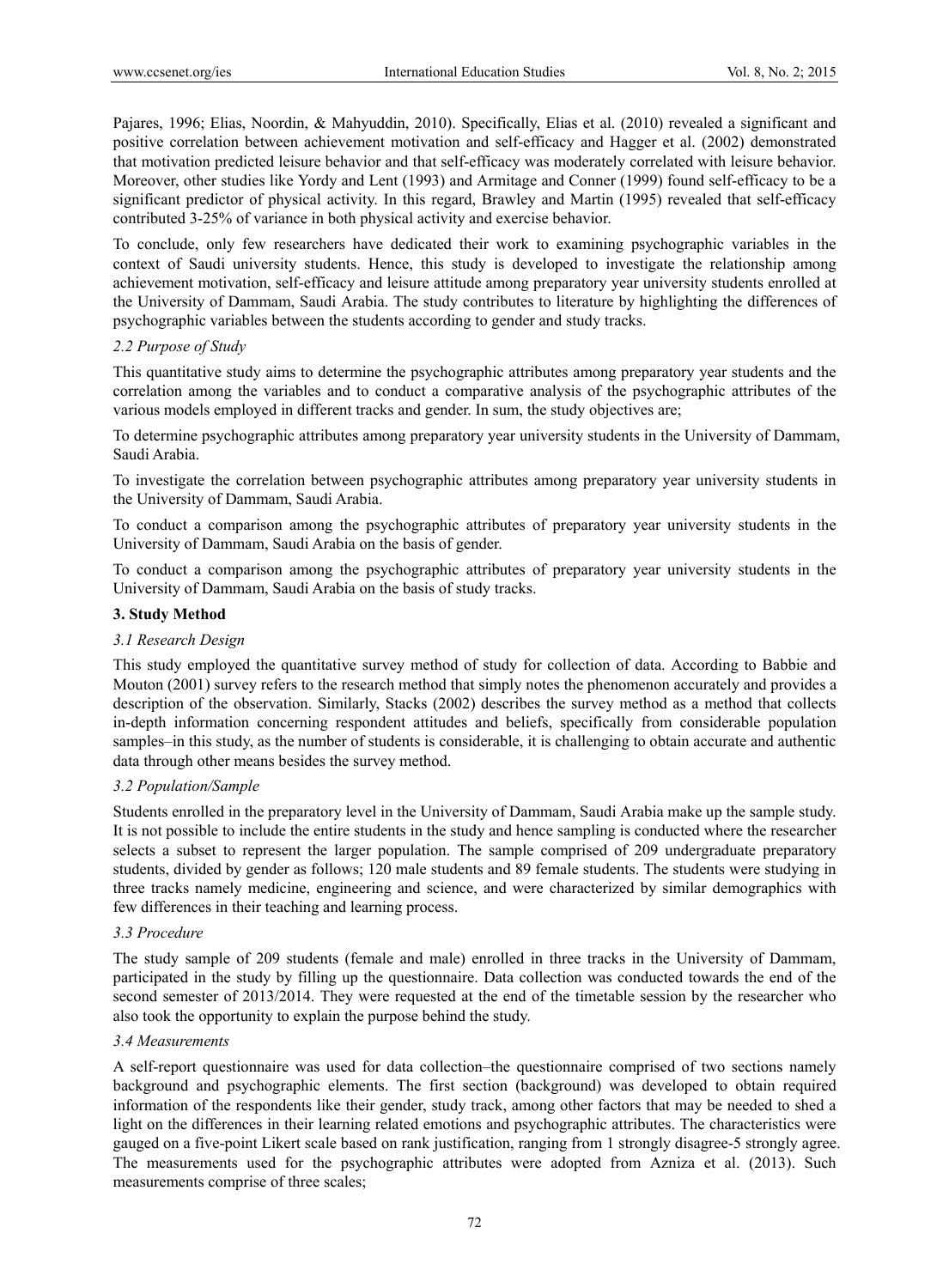Pajares, 1996; Elias, Noordin, & Mahyuddin, 2010). Specifically, Elias et al. (2010) revealed a significant and positive correlation between achievement motivation and self-efficacy and Hagger et al. (2002) demonstrated that motivation predicted leisure behavior and that self-efficacy was moderately correlated with leisure behavior. Moreover, other studies like Yordy and Lent (1993) and Armitage and Conner (1999) found self-efficacy to be a significant predictor of physical activity. In this regard, Brawley and Martin (1995) revealed that self-efficacy contributed 3-25% of variance in both physical activity and exercise behavior.

To conclude, only few researchers have dedicated their work to examining psychographic variables in the context of Saudi university students. Hence, this study is developed to investigate the relationship among achievement motivation, self-efficacy and leisure attitude among preparatory year university students enrolled at the University of Dammam, Saudi Arabia. The study contributes to literature by highlighting the differences of psychographic variables between the students according to gender and study tracks.

#### *2.2 Purpose of Study*

This quantitative study aims to determine the psychographic attributes among preparatory year students and the correlation among the variables and to conduct a comparative analysis of the psychographic attributes of the various models employed in different tracks and gender. In sum, the study objectives are;

To determine psychographic attributes among preparatory year university students in the University of Dammam, Saudi Arabia.

To investigate the correlation between psychographic attributes among preparatory year university students in the University of Dammam, Saudi Arabia.

To conduct a comparison among the psychographic attributes of preparatory year university students in the University of Dammam, Saudi Arabia on the basis of gender.

To conduct a comparison among the psychographic attributes of preparatory year university students in the University of Dammam, Saudi Arabia on the basis of study tracks.

## **3. Study Method**

### *3.1 Research Design*

This study employed the quantitative survey method of study for collection of data. According to Babbie and Mouton (2001) survey refers to the research method that simply notes the phenomenon accurately and provides a description of the observation. Similarly, Stacks (2002) describes the survey method as a method that collects in-depth information concerning respondent attitudes and beliefs, specifically from considerable population samples–in this study, as the number of students is considerable, it is challenging to obtain accurate and authentic data through other means besides the survey method.

#### *3.2 Population/Sample*

Students enrolled in the preparatory level in the University of Dammam, Saudi Arabia make up the sample study. It is not possible to include the entire students in the study and hence sampling is conducted where the researcher selects a subset to represent the larger population. The sample comprised of 209 undergraduate preparatory students, divided by gender as follows; 120 male students and 89 female students. The students were studying in three tracks namely medicine, engineering and science, and were characterized by similar demographics with few differences in their teaching and learning process.

#### *3.3 Procedure*

The study sample of 209 students (female and male) enrolled in three tracks in the University of Dammam, participated in the study by filling up the questionnaire. Data collection was conducted towards the end of the second semester of 2013/2014. They were requested at the end of the timetable session by the researcher who also took the opportunity to explain the purpose behind the study.

#### *3.4 Measurements*

A self-report questionnaire was used for data collection–the questionnaire comprised of two sections namely background and psychographic elements. The first section (background) was developed to obtain required information of the respondents like their gender, study track, among other factors that may be needed to shed a light on the differences in their learning related emotions and psychographic attributes. The characteristics were gauged on a five-point Likert scale based on rank justification, ranging from 1 strongly disagree-5 strongly agree. The measurements used for the psychographic attributes were adopted from Azniza et al. (2013). Such measurements comprise of three scales;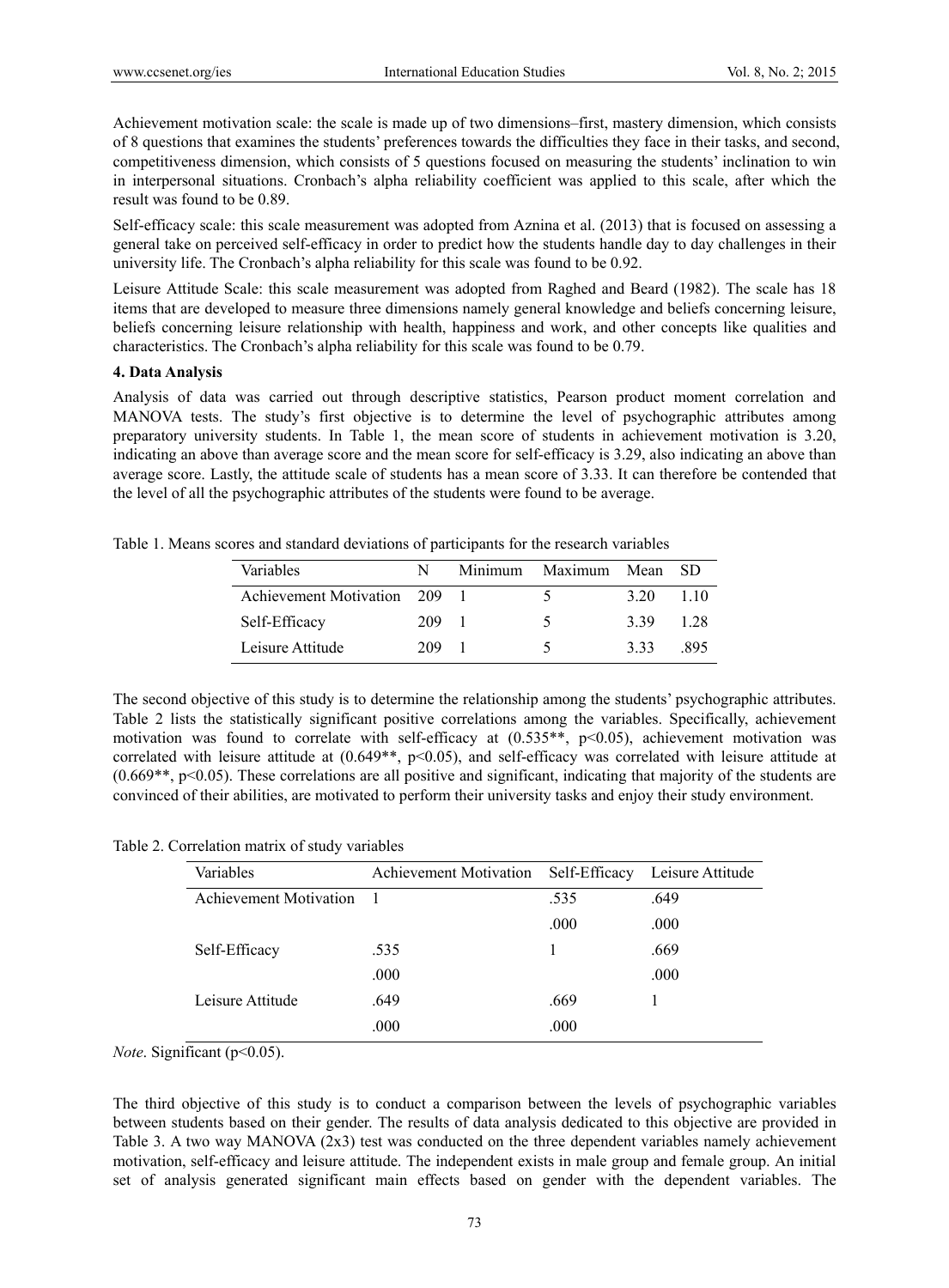Achievement motivation scale: the scale is made up of two dimensions–first, mastery dimension, which consists of 8 questions that examines the students' preferences towards the difficulties they face in their tasks, and second, competitiveness dimension, which consists of 5 questions focused on measuring the students' inclination to win in interpersonal situations. Cronbach's alpha reliability coefficient was applied to this scale, after which the result was found to be 0.89.

Self-efficacy scale: this scale measurement was adopted from Aznina et al. (2013) that is focused on assessing a general take on perceived self-efficacy in order to predict how the students handle day to day challenges in their university life. The Cronbach's alpha reliability for this scale was found to be 0.92.

Leisure Attitude Scale: this scale measurement was adopted from Raghed and Beard (1982). The scale has 18 items that are developed to measure three dimensions namely general knowledge and beliefs concerning leisure, beliefs concerning leisure relationship with health, happiness and work, and other concepts like qualities and characteristics. The Cronbach's alpha reliability for this scale was found to be 0.79.

#### **4. Data Analysis**

Analysis of data was carried out through descriptive statistics, Pearson product moment correlation and MANOVA tests. The study's first objective is to determine the level of psychographic attributes among preparatory university students. In Table 1, the mean score of students in achievement motivation is 3.20, indicating an above than average score and the mean score for self-efficacy is 3.29, also indicating an above than average score. Lastly, the attitude scale of students has a mean score of 3.33. It can therefore be contended that the level of all the psychographic attributes of the students were found to be average.

Table 1. Means scores and standard deviations of participants for the research variables

| Variables                  | N   | Minimum Maximum | Mean | - SD  |
|----------------------------|-----|-----------------|------|-------|
| Achievement Motivation 209 |     |                 | 3.20 | 1 1 0 |
| Self-Efficacy              | 209 | ↖               | 3.39 | 128   |
| Leisure Attitude           | 209 | ↖               | 333  | -895  |

The second objective of this study is to determine the relationship among the students' psychographic attributes. Table 2 lists the statistically significant positive correlations among the variables. Specifically, achievement motivation was found to correlate with self-efficacy at (0.535\*\*, p<0.05), achievement motivation was correlated with leisure attitude at  $(0.649**, p<0.05)$ , and self-efficacy was correlated with leisure attitude at  $(0.669**, p<0.05)$ . These correlations are all positive and significant, indicating that majority of the students are convinced of their abilities, are motivated to perform their university tasks and enjoy their study environment.

Table 2. Correlation matrix of study variables

| Variables              | Achievement Motivation Self-Efficacy |      | Leisure Attitude |
|------------------------|--------------------------------------|------|------------------|
| Achievement Motivation |                                      | .535 | .649             |
|                        |                                      | .000 | .000             |
| Self-Efficacy          | .535                                 |      | .669             |
|                        | .000                                 |      | .000             |
| Leisure Attitude       | .649                                 | .669 |                  |
|                        | .000                                 | .000 |                  |

*Note*. Significant (p<0.05).

The third objective of this study is to conduct a comparison between the levels of psychographic variables between students based on their gender. The results of data analysis dedicated to this objective are provided in Table 3. A two way MANOVA (2x3) test was conducted on the three dependent variables namely achievement motivation, self-efficacy and leisure attitude. The independent exists in male group and female group. An initial set of analysis generated significant main effects based on gender with the dependent variables. The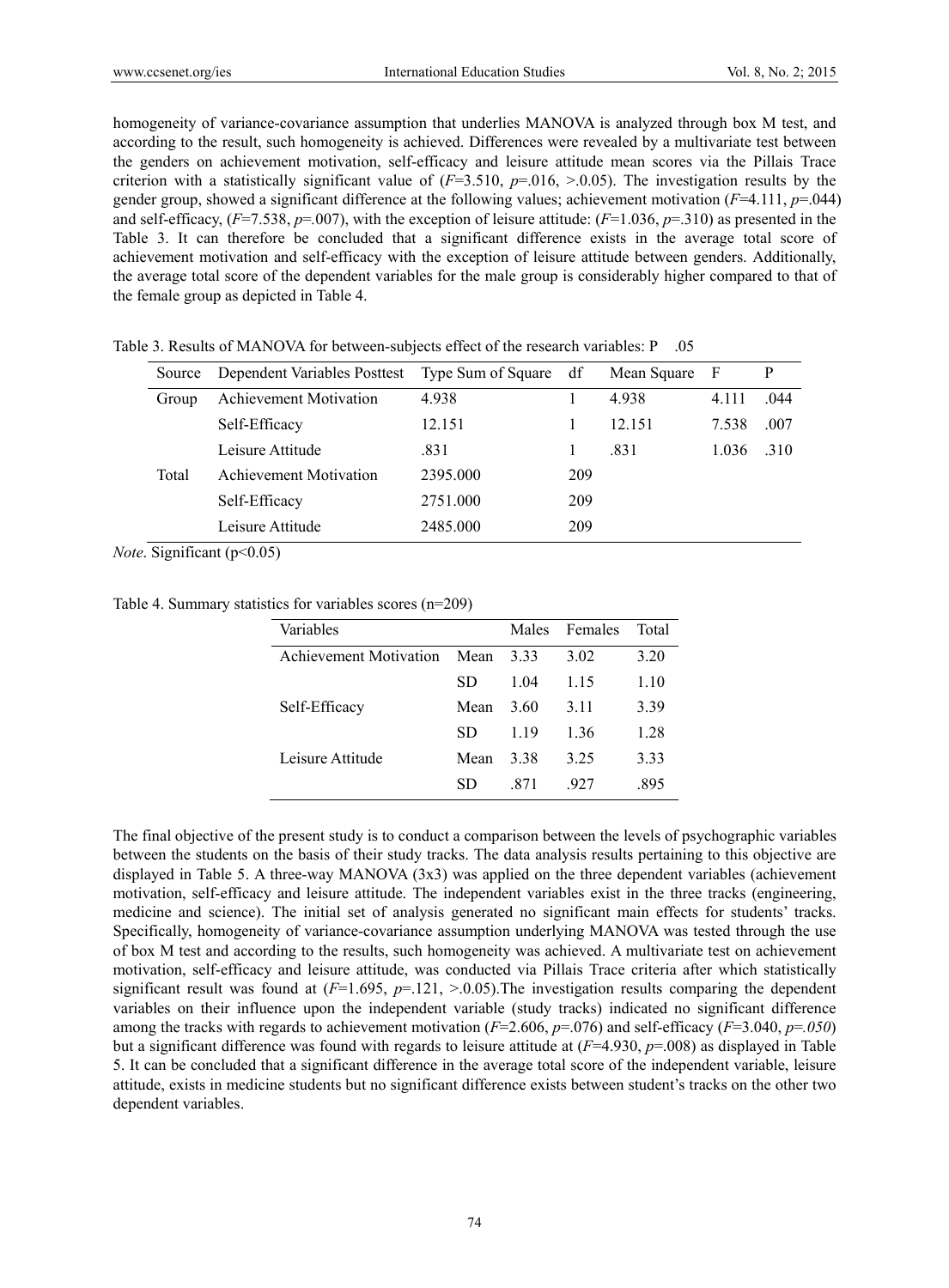homogeneity of variance-covariance assumption that underlies MANOVA is analyzed through box M test, and according to the result, such homogeneity is achieved. Differences were revealed by a multivariate test between the genders on achievement motivation, self-efficacy and leisure attitude mean scores via the Pillais Trace criterion with a statistically significant value of  $(F=3.510, p=.016, >.0.05)$ . The investigation results by the gender group, showed a significant difference at the following values; achievement motivation (*F*=4.111, *p*=.044) and self-efficacy,  $(F=7.538, p=.007)$ , with the exception of leisure attitude:  $(F=1.036, p=.310)$  as presented in the Table 3. It can therefore be concluded that a significant difference exists in the average total score of achievement motivation and self-efficacy with the exception of leisure attitude between genders. Additionally, the average total score of the dependent variables for the male group is considerably higher compared to that of the female group as depicted in Table 4.

| Source | Dependent Variables Posttest  | Type Sum of Square | df  | Mean Square | -F    | P    |
|--------|-------------------------------|--------------------|-----|-------------|-------|------|
| Group  | <b>Achievement Motivation</b> | 4.938              |     | 4.938       | 4.111 | .044 |
|        | Self-Efficacy                 | 12.151             |     | 12 151      | 7.538 | .007 |
|        | Leisure Attitude              | .831               |     | .831        | 1.036 | .310 |
| Total  | <b>Achievement Motivation</b> | 2395.000           | 209 |             |       |      |
|        | Self-Efficacy                 | 2751.000           | 209 |             |       |      |
|        | Leisure Attitude              | 2485.000           | 209 |             |       |      |

Table 3. Results of MANOVA for between-subjects effect of the research variables: P .05

*Note*. Significant (p<0.05)

Table 4. Summary statistics for variables scores (n=209)

| Variables              |      | Males | Females | Total |
|------------------------|------|-------|---------|-------|
| Achievement Motivation | Mean | 333   | 3.02    | 3.20  |
|                        | SD   | 1.04  | 1 15    | 1.10  |
| Self-Efficacy          | Mean | 3.60  | 3.11    | 3.39  |
|                        | SD   | 119   | 136     | 1.28  |
| Leisure Attitude       | Mean | 3.38  | 3 25    | 3.33  |
|                        | SD   | -871  | 927     | 895   |

The final objective of the present study is to conduct a comparison between the levels of psychographic variables between the students on the basis of their study tracks. The data analysis results pertaining to this objective are displayed in Table 5. A three-way MANOVA (3x3) was applied on the three dependent variables (achievement motivation, self-efficacy and leisure attitude. The independent variables exist in the three tracks (engineering, medicine and science). The initial set of analysis generated no significant main effects for students' tracks. Specifically, homogeneity of variance-covariance assumption underlying MANOVA was tested through the use of box M test and according to the results, such homogeneity was achieved. A multivariate test on achievement motivation, self-efficacy and leisure attitude, was conducted via Pillais Trace criteria after which statistically significant result was found at  $(F=1.695, p=.121, >.0.05)$ . The investigation results comparing the dependent variables on their influence upon the independent variable (study tracks) indicated no significant difference among the tracks with regards to achievement motivation (*F*=2.606, *p*=.076) and self-efficacy (*F*=3.040, *p*=*.050*) but a significant difference was found with regards to leisure attitude at (*F*=4.930, *p*=.008) as displayed in Table 5. It can be concluded that a significant difference in the average total score of the independent variable, leisure attitude, exists in medicine students but no significant difference exists between student's tracks on the other two dependent variables.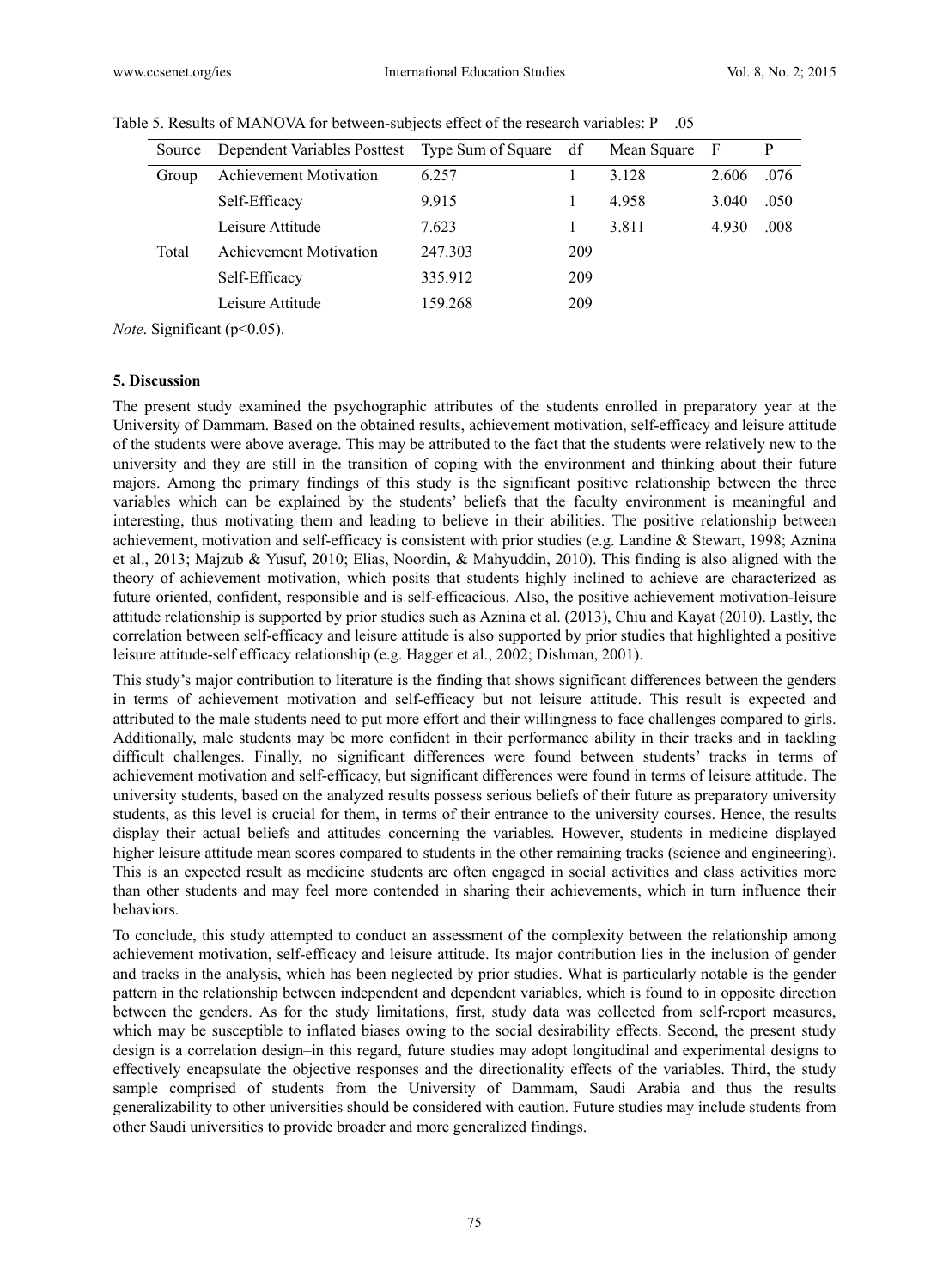| Source | Dependent Variables Posttest Type Sum of Square |         | df  | Mean Square | - F   | P    |
|--------|-------------------------------------------------|---------|-----|-------------|-------|------|
| Group  | <b>Achievement Motivation</b>                   | 6.257   |     | 3 1 2 8     | 2.606 | .076 |
|        | Self-Efficacy                                   | 9.915   |     | 4.958       | 3.040 | .050 |
|        | Leisure Attitude                                | 7.623   |     | 3.811       | 4.930 | .008 |
| Total  | Achievement Motivation                          | 247.303 | 209 |             |       |      |
|        | Self-Efficacy                                   | 335.912 | 209 |             |       |      |
|        | Leisure Attitude                                | 159.268 | 209 |             |       |      |

Table 5. Results of MANOVA for between-subjects effect of the research variables: P .05

*Note.* Significant (p<0.05).

#### **5. Discussion**

The present study examined the psychographic attributes of the students enrolled in preparatory year at the University of Dammam. Based on the obtained results, achievement motivation, self-efficacy and leisure attitude of the students were above average. This may be attributed to the fact that the students were relatively new to the university and they are still in the transition of coping with the environment and thinking about their future majors. Among the primary findings of this study is the significant positive relationship between the three variables which can be explained by the students' beliefs that the faculty environment is meaningful and interesting, thus motivating them and leading to believe in their abilities. The positive relationship between achievement, motivation and self-efficacy is consistent with prior studies (e.g. Landine & Stewart, 1998; Aznina et al., 2013; Majzub & Yusuf, 2010; Elias, Noordin, & Mahyuddin, 2010). This finding is also aligned with the theory of achievement motivation, which posits that students highly inclined to achieve are characterized as future oriented, confident, responsible and is self-efficacious. Also, the positive achievement motivation-leisure attitude relationship is supported by prior studies such as Aznina et al. (2013), Chiu and Kayat (2010). Lastly, the correlation between self-efficacy and leisure attitude is also supported by prior studies that highlighted a positive leisure attitude-self efficacy relationship (e.g. Hagger et al., 2002; Dishman, 2001).

This study's major contribution to literature is the finding that shows significant differences between the genders in terms of achievement motivation and self-efficacy but not leisure attitude. This result is expected and attributed to the male students need to put more effort and their willingness to face challenges compared to girls. Additionally, male students may be more confident in their performance ability in their tracks and in tackling difficult challenges. Finally, no significant differences were found between students' tracks in terms of achievement motivation and self-efficacy, but significant differences were found in terms of leisure attitude. The university students, based on the analyzed results possess serious beliefs of their future as preparatory university students, as this level is crucial for them, in terms of their entrance to the university courses. Hence, the results display their actual beliefs and attitudes concerning the variables. However, students in medicine displayed higher leisure attitude mean scores compared to students in the other remaining tracks (science and engineering). This is an expected result as medicine students are often engaged in social activities and class activities more than other students and may feel more contended in sharing their achievements, which in turn influence their behaviors.

To conclude, this study attempted to conduct an assessment of the complexity between the relationship among achievement motivation, self-efficacy and leisure attitude. Its major contribution lies in the inclusion of gender and tracks in the analysis, which has been neglected by prior studies. What is particularly notable is the gender pattern in the relationship between independent and dependent variables, which is found to in opposite direction between the genders. As for the study limitations, first, study data was collected from self-report measures, which may be susceptible to inflated biases owing to the social desirability effects. Second, the present study design is a correlation design–in this regard, future studies may adopt longitudinal and experimental designs to effectively encapsulate the objective responses and the directionality effects of the variables. Third, the study sample comprised of students from the University of Dammam, Saudi Arabia and thus the results generalizability to other universities should be considered with caution. Future studies may include students from other Saudi universities to provide broader and more generalized findings.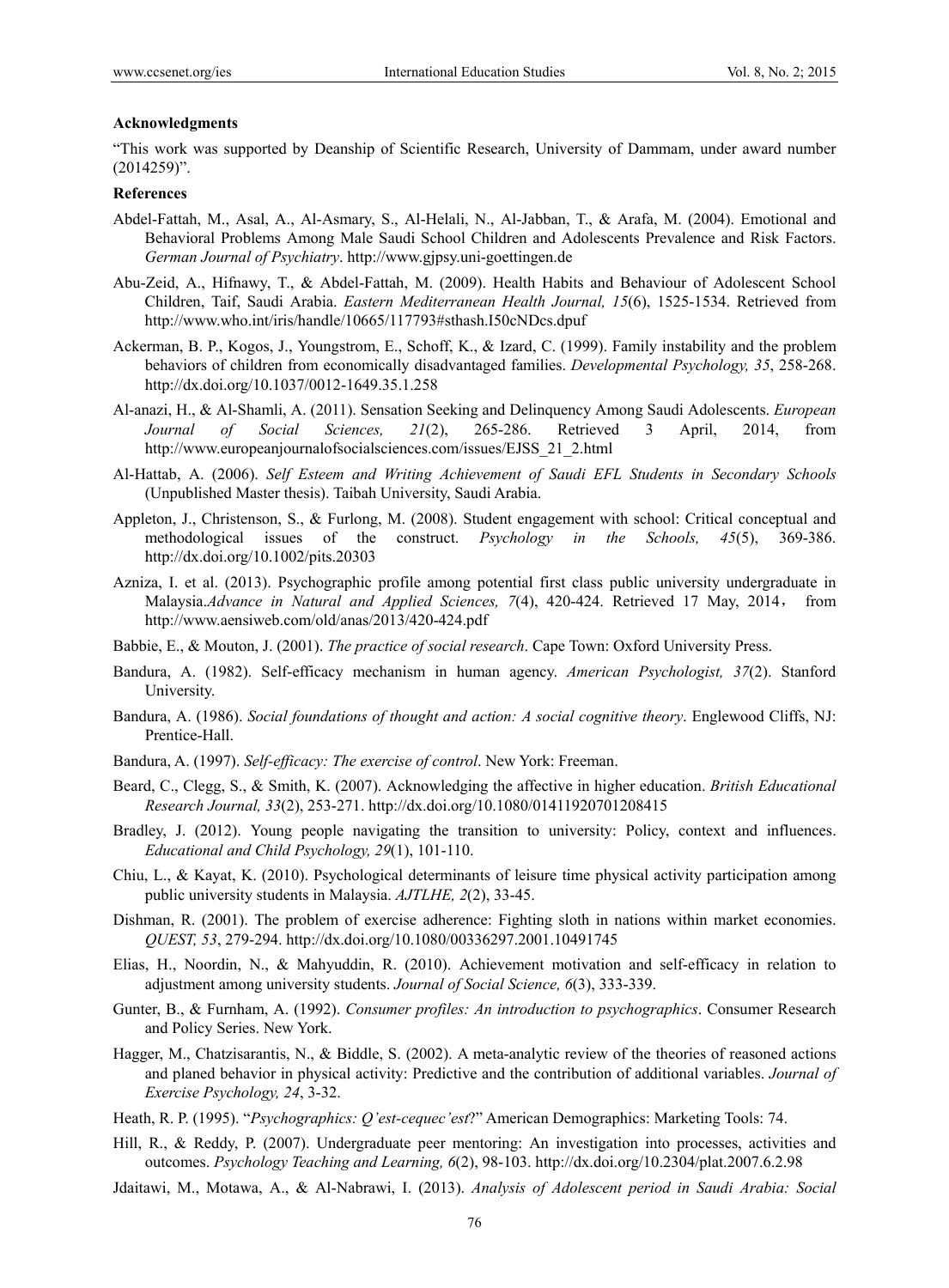#### **Acknowledgments**

"This work was supported by Deanship of Scientific Research, University of Dammam, under award number (2014259)".

#### **References**

- Abdel-Fattah, M., Asal, A., Al-Asmary, S., Al-Helali, N., Al-Jabban, T., & Arafa, M. (2004). Emotional and Behavioral Problems Among Male Saudi School Children and Adolescents Prevalence and Risk Factors. *German Journal of Psychiatry*. http://www.gjpsy.uni-goettingen.de
- Abu-Zeid, A., Hifnawy, T., & Abdel-Fattah, M. (2009). Health Habits and Behaviour of Adolescent School Children, Taif, Saudi Arabia. *Eastern Mediterranean Health Journal, 15*(6), 1525-1534. Retrieved from http://www.who.int/iris/handle/10665/117793#sthash.I50cNDcs.dpuf
- Ackerman, B. P., Kogos, J., Youngstrom, E., Schoff, K., & Izard, C. (1999). Family instability and the problem behaviors of children from economically disadvantaged families. *Developmental Psychology, 35*, 258-268. http://dx.doi.org/10.1037/0012-1649.35.1.258
- Al-anazi, H., & Al-Shamli, A. (2011). Sensation Seeking and Delinquency Among Saudi Adolescents. *European Journal of Social Sciences, 21*(2), 265-286. Retrieved 3 April, 2014, from http://www.europeanjournalofsocialsciences.com/issues/EJSS\_21\_2.html
- Al-Hattab, A. (2006). *Self Esteem and Writing Achievement of Saudi EFL Students in Secondary Schools* (Unpublished Master thesis). Taibah University, Saudi Arabia.
- Appleton, J., Christenson, S., & Furlong, M. (2008). Student engagement with school: Critical conceptual and methodological issues of the construct. *Psychology in the Schools, 45*(5), 369-386. http://dx.doi.org/10.1002/pits.20303
- Azniza, I. et al. (2013). Psychographic profile among potential first class public university undergraduate in Malaysia.Advance in Natural and Applied Sciences, 7(4), 420-424. Retrieved 17 May, 2014, http://www.aensiweb.com/old/anas/2013/420-424.pdf
- Babbie, E., & Mouton, J. (2001). *The practice of social research*. Cape Town: Oxford University Press.
- Bandura, A. (1982). Self-efficacy mechanism in human agency. *American Psychologist, 37*(2). Stanford University.
- Bandura, A. (1986). *Social foundations of thought and action: A social cognitive theory*. Englewood Cliffs, NJ: Prentice-Hall.
- Bandura, A. (1997). *Self-efficacy: The exercise of control*. New York: Freeman.
- Beard, C., Clegg, S., & Smith, K. (2007). Acknowledging the affective in higher education. *British Educational Research Journal, 33*(2), 253-271. http://dx.doi.org/10.1080/01411920701208415
- Bradley, J. (2012). Young people navigating the transition to university: Policy, context and influences. *Educational and Child Psychology, 29*(1), 101-110.
- Chiu, L., & Kayat, K. (2010). Psychological determinants of leisure time physical activity participation among public university students in Malaysia. *AJTLHE, 2*(2), 33-45.
- Dishman, R. (2001). The problem of exercise adherence: Fighting sloth in nations within market economies. *QUEST, 53*, 279-294. http://dx.doi.org/10.1080/00336297.2001.10491745
- Elias, H., Noordin, N., & Mahyuddin, R. (2010). Achievement motivation and self-efficacy in relation to adjustment among university students. *Journal of Social Science, 6*(3), 333-339.
- Gunter, B., & Furnham, A. (1992). *Consumer profiles: An introduction to psychographics*. Consumer Research and Policy Series. New York.
- Hagger, M., Chatzisarantis, N., & Biddle, S. (2002). A meta-analytic review of the theories of reasoned actions and planed behavior in physical activity: Predictive and the contribution of additional variables. *Journal of Exercise Psychology, 24*, 3-32.
- Heath, R. P. (1995). "*Psychographics: Q'est-cequec'est*?" American Demographics: Marketing Tools: 74.
- Hill, R., & Reddy, P. (2007). Undergraduate peer mentoring: An investigation into processes, activities and outcomes. *Psychology Teaching and Learning, 6*(2), 98-103. http://dx.doi.org/10.2304/plat.2007.6.2.98
- Jdaitawi, M., Motawa, A., & Al-Nabrawi, I. (2013). *Analysis of Adolescent period in Saudi Arabia: Social*